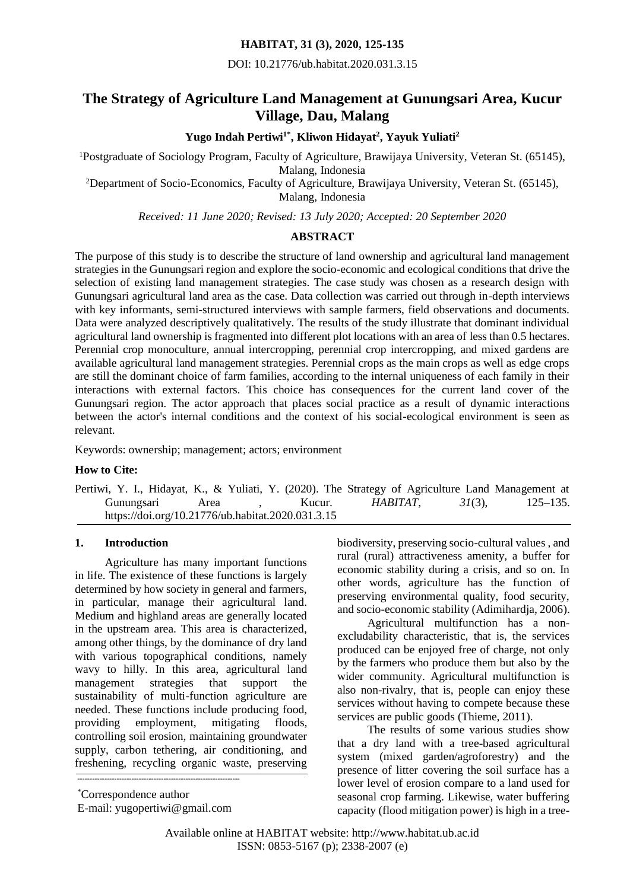## **HABITAT, 31 (3), 2020, 125-135**

DOI: 10.21776/ub.habitat.2020.031.3.15

# **The Strategy of Agriculture Land Management at Gunungsari Area, Kucur Village, Dau, Malang**

**Yugo Indah Pertiwi1\*, Kliwon Hidayat<sup>2</sup> , Yayuk Yuliati<sup>2</sup>**

<sup>1</sup>Postgraduate of Sociology Program, Faculty of Agriculture, Brawijaya University, Veteran St. (65145), Malang, Indonesia

<sup>2</sup>Department of Socio-Economics, Faculty of Agriculture, Brawijaya University, Veteran St. (65145), Malang, Indonesia

*Received: 11 June 2020; Revised: 13 July 2020; Accepted: 20 September 2020*

## **ABSTRACT**

The purpose of this study is to describe the structure of land ownership and agricultural land management strategies in the Gunungsari region and explore the socio-economic and ecological conditions that drive the selection of existing land management strategies. The case study was chosen as a research design with Gunungsari agricultural land area as the case. Data collection was carried out through in-depth interviews with key informants, semi-structured interviews with sample farmers, field observations and documents. Data were analyzed descriptively qualitatively. The results of the study illustrate that dominant individual agricultural land ownership is fragmented into different plot locations with an area of less than 0.5 hectares. Perennial crop monoculture, annual intercropping, perennial crop intercropping, and mixed gardens are available agricultural land management strategies. Perennial crops as the main crops as well as edge crops are still the dominant choice of farm families, according to the internal uniqueness of each family in their interactions with external factors. This choice has consequences for the current land cover of the Gunungsari region. The actor approach that places social practice as a result of dynamic interactions between the actor's internal conditions and the context of his social-ecological environment is seen as relevant.

Keywords: ownership; management; actors; environment

## **How to Cite:**

Pertiwi, Y. I., Hidayat, K., & Yuliati, Y. (2020). The Strategy of Agriculture Land Management at Gunungsari Area , Kucur. *HABITAT*, *31*(3), 125–135. https://doi.org/10.21776/ub.habitat.2020.031.3.15

## **1. Introduction**

Agriculture has many important functions in life. The existence of these functions is largely determined by how society in general and farmers, in particular, manage their agricultural land. Medium and highland areas are generally located in the upstream area. This area is characterized, among other things, by the dominance of dry land with various topographical conditions, namely wavy to hilly. In this area, agricultural land management strategies that support the sustainability of multi-function agriculture are needed. These functions include producing food, providing employment, mitigating floods, controlling soil erosion, maintaining groundwater supply, carbon tethering, air conditioning, and freshening, recycling organic waste, preserving

\*Correspondence author E-mail: [yugopertiwi@gmail.com](mailto:yugopertiwi@gmail.com)

------------------------------------------------------------------

biodiversity, preserving socio-cultural values , and rural (rural) attractiveness amenity, a buffer for economic stability during a crisis, and so on. In other words, agriculture has the function of preserving environmental quality, food security, and socio-economic stability (Adimihardja, 2006).

Agricultural multifunction has a nonexcludability characteristic, that is, the services produced can be enjoyed free of charge, not only by the farmers who produce them but also by the wider community. Agricultural multifunction is also non-rivalry, that is, people can enjoy these services without having to compete because these services are public goods (Thieme, 2011).

The results of some various studies show that a dry land with a tree-based agricultural system (mixed garden/agroforestry) and the presence of litter covering the soil surface has a lower level of erosion compare to a land used for seasonal crop farming. Likewise, water buffering capacity (flood mitigation power) is high in a tree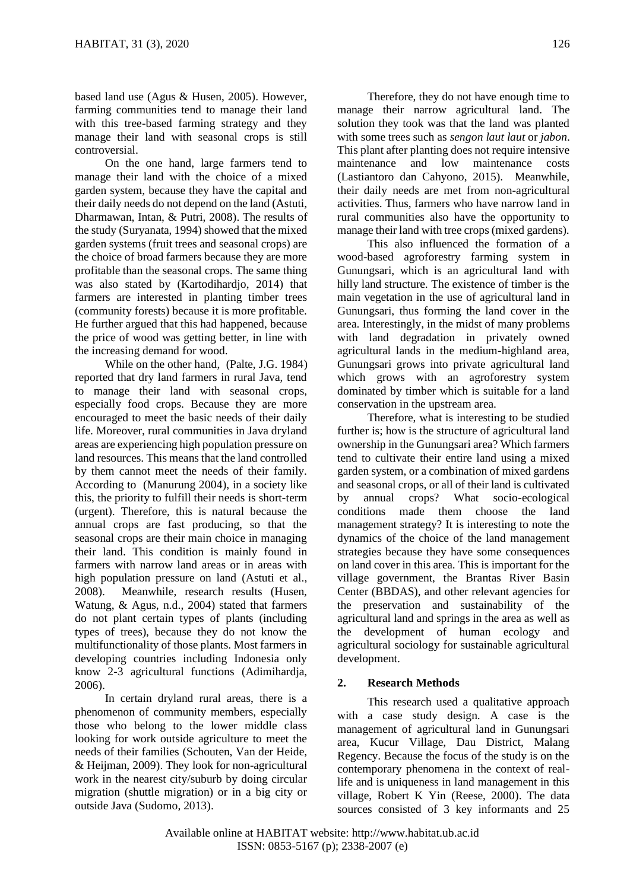based land use (Agus & Husen, 2005). However, farming communities tend to manage their land with this tree-based farming strategy and they manage their land with seasonal crops is still controversial.

On the one hand, large farmers tend to manage their land with the choice of a mixed garden system, because they have the capital and their daily needs do not depend on the land (Astuti, Dharmawan, Intan, & Putri, 2008). The results of the study (Suryanata, 1994) showed that the mixed garden systems (fruit trees and seasonal crops) are the choice of broad farmers because they are more profitable than the seasonal crops. The same thing was also stated by (Kartodihardjo, 2014) that farmers are interested in planting timber trees (community forests) because it is more profitable. He further argued that this had happened, because the price of wood was getting better, in line with the increasing demand for wood.

While on the other hand, (Palte, J.G. 1984) reported that dry land farmers in rural Java, tend to manage their land with seasonal crops, especially food crops. Because they are more encouraged to meet the basic needs of their daily life. Moreover, rural communities in Java dryland areas are experiencing high population pressure on land resources. This means that the land controlled by them cannot meet the needs of their family. According to (Manurung 2004), in a society like this, the priority to fulfill their needs is short-term (urgent). Therefore, this is natural because the annual crops are fast producing, so that the seasonal crops are their main choice in managing their land. This condition is mainly found in farmers with narrow land areas or in areas with high population pressure on land (Astuti et al., 2008). Meanwhile, research results (Husen, Watung, & Agus, n.d., 2004) stated that farmers do not plant certain types of plants (including types of trees), because they do not know the multifunctionality of those plants. Most farmers in developing countries including Indonesia only know 2-3 agricultural functions (Adimihardja, 2006).

In certain dryland rural areas, there is a phenomenon of community members, especially those who belong to the lower middle class looking for work outside agriculture to meet the needs of their families (Schouten, Van der Heide, & Heijman, 2009). They look for non-agricultural work in the nearest city/suburb by doing circular migration (shuttle migration) or in a big city or outside Java (Sudomo, 2013).

Therefore, they do not have enough time to manage their narrow agricultural land. The solution they took was that the land was planted with some trees such as *sengon laut laut* or *jabon*. This plant after planting does not require intensive maintenance and low maintenance costs (Lastiantoro dan Cahyono, 2015). Meanwhile, their daily needs are met from non-agricultural activities. Thus, farmers who have narrow land in rural communities also have the opportunity to manage their land with tree crops (mixed gardens).

This also influenced the formation of a wood-based agroforestry farming system in Gunungsari, which is an agricultural land with hilly land structure. The existence of timber is the main vegetation in the use of agricultural land in Gunungsari, thus forming the land cover in the area. Interestingly, in the midst of many problems with land degradation in privately owned agricultural lands in the medium-highland area, Gunungsari grows into private agricultural land which grows with an agroforestry system dominated by timber which is suitable for a land conservation in the upstream area.

Therefore, what is interesting to be studied further is; how is the structure of agricultural land ownership in the Gunungsari area? Which farmers tend to cultivate their entire land using a mixed garden system, or a combination of mixed gardens and seasonal crops, or all of their land is cultivated by annual crops? What socio-ecological conditions made them choose the land management strategy? It is interesting to note the dynamics of the choice of the land management strategies because they have some consequences on land cover in this area. This is important for the village government, the Brantas River Basin Center (BBDAS), and other relevant agencies for the preservation and sustainability of the agricultural land and springs in the area as well as the development of human ecology and agricultural sociology for sustainable agricultural development.

## **2. Research Methods**

This research used a qualitative approach with a case study design. A case is the management of agricultural land in Gunungsari area, Kucur Village, Dau District, Malang Regency. Because the focus of the study is on the contemporary phenomena in the context of reallife and is uniqueness in land management in this village, Robert K Yin (Reese, 2000). The data sources consisted of 3 key informants and 25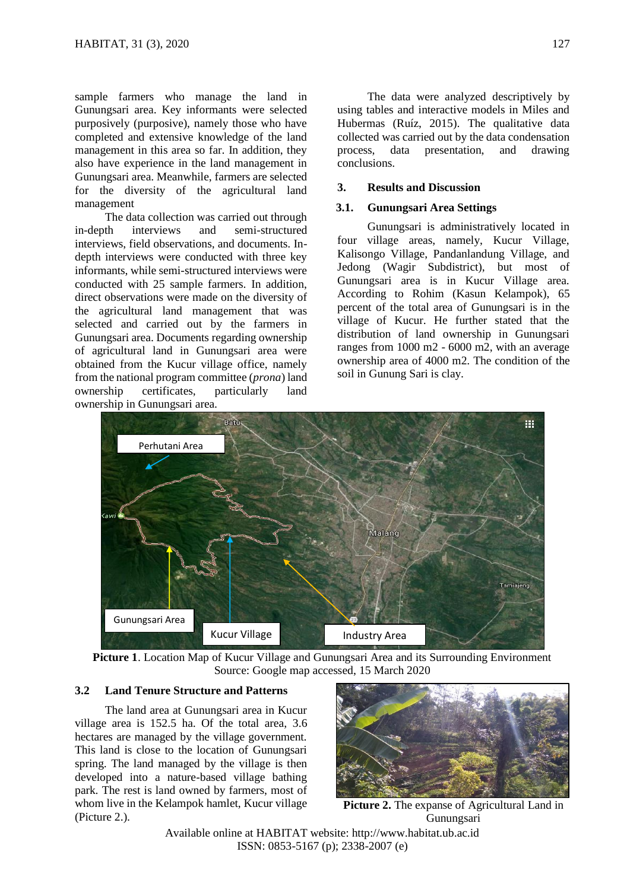sample farmers who manage the land in Gunungsari area. Key informants were selected purposively (purposive), namely those who have completed and extensive knowledge of the land management in this area so far. In addition, they also have experience in the land management in Gunungsari area. Meanwhile, farmers are selected for the diversity of the agricultural land management

The data collection was carried out through in-depth interviews and semi-structured interviews, field observations, and documents. Indepth interviews were conducted with three key informants, while semi-structured interviews were conducted with 25 sample farmers. In addition, direct observations were made on the diversity of the agricultural land management that was selected and carried out by the farmers in Gunungsari area. Documents regarding ownership of agricultural land in Gunungsari area were obtained from the Kucur village office, namely from the national program committee (*prona*) land ownership certificates, particularly land ownership in Gunungsari area.

The data were analyzed descriptively by using tables and interactive models in Miles and Hubermas (Ruíz, 2015). The qualitative data collected was carried out by the data condensation process, data presentation, and drawing conclusions.

### **3. Results and Discussion**

## **3.1. Gunungsari Area Settings**

Gunungsari is administratively located in four village areas, namely, Kucur Village, Kalisongo Village, Pandanlandung Village, and Jedong (Wagir Subdistrict), but most of Gunungsari area is in Kucur Village area. According to Rohim (Kasun Kelampok), 65 percent of the total area of Gunungsari is in the village of Kucur. He further stated that the distribution of land ownership in Gunungsari ranges from 1000 m2 - 6000 m2, with an average ownership area of 4000 m2. The condition of the soil in Gunung Sari is clay.



**Picture 1**. Location Map of Kucur Village and Gunungsari Area and its Surrounding Environment Source: Google map accessed, 15 March 2020

#### **3.2 Land Tenure Structure and Patterns**

The land area at Gunungsari area in Kucur village area is 152.5 ha. Of the total area, 3.6 hectares are managed by the village government. This land is close to the location of Gunungsari spring. The land managed by the village is then developed into a nature-based village bathing park. The rest is land owned by farmers, most of whom live in the Kelampok hamlet, Kucur village (Picture 2.).



**Picture 2.** The expanse of Agricultural Land in Gunungsari

Available online at HABITAT website: http://www.habitat.ub.ac.id ISSN: 0853-5167 (p); 2338-2007 (e)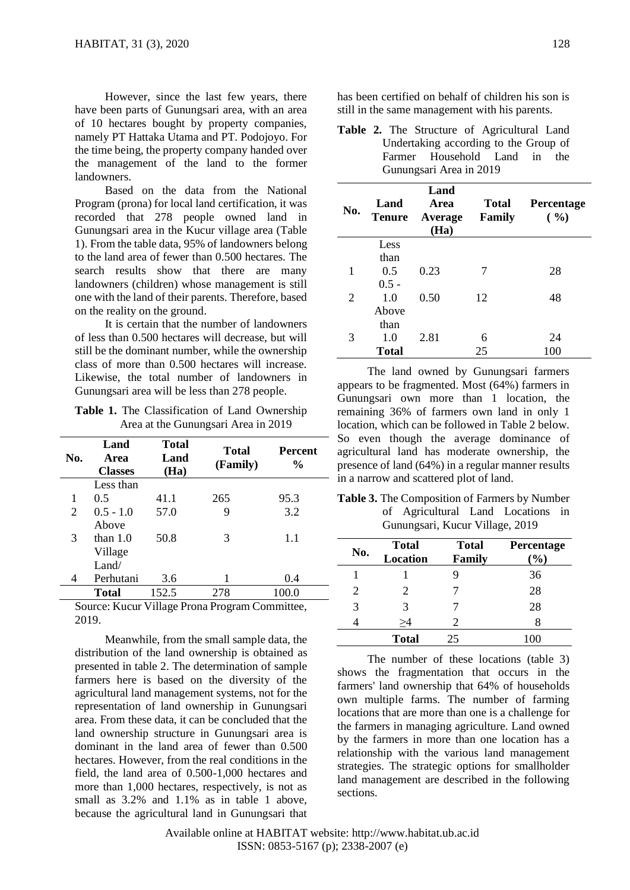However, since the last few years, there have been parts of Gunungsari area, with an area of 10 hectares bought by property companies, namely PT Hattaka Utama and PT. Podojoyo. For the time being, the property company handed over the management of the land to the former landowners.

Based on the data from the National Program (prona) for local land certification, it was recorded that 278 people owned land in Gunungsari area in the Kucur village area (Table 1). From the table data, 95% of landowners belong to the land area of fewer than 0.500 hectares. The search results show that there are many landowners (children) whose management is still one with the land of their parents. Therefore, based on the reality on the ground.

It is certain that the number of landowners of less than 0.500 hectares will decrease, but will still be the dominant number, while the ownership class of more than 0.500 hectares will increase. Likewise, the total number of landowners in Gunungsari area will be less than 278 people.

**Table 1.** The Classification of Land Ownership Area at the Gunungsari Area in 2019

| No. | Land<br>Area<br><b>Classes</b> | <b>Total</b><br>Land<br>(Ha) | <b>Total</b><br>(Family) | <b>Percent</b><br>$\frac{6}{9}$ |
|-----|--------------------------------|------------------------------|--------------------------|---------------------------------|
|     | Less than                      |                              |                          |                                 |
| 1   | 0.5                            | 41.1                         | 265                      | 95.3                            |
| 2   | $0.5 - 1.0$                    | 57.0                         | 9                        | 3.2                             |
|     | Above                          |                              |                          |                                 |
| 3   | than $1.0$                     | 50.8                         | 3                        | 1.1                             |
|     | Village                        |                              |                          |                                 |
|     | Land/                          |                              |                          |                                 |
| 4   | Perhutani                      | 3.6                          | 1                        | 0.4                             |
|     | <b>Total</b>                   | 152.5                        | 278                      | 100.0                           |
|     |                                |                              | -                        |                                 |

Source: Kucur Village Prona Program Committee, 2019.

Meanwhile, from the small sample data, the distribution of the land ownership is obtained as presented in table 2. The determination of sample farmers here is based on the diversity of the agricultural land management systems, not for the representation of land ownership in Gunungsari area. From these data, it can be concluded that the land ownership structure in Gunungsari area is dominant in the land area of fewer than 0.500 hectares. However, from the real conditions in the field, the land area of 0.500-1,000 hectares and more than 1,000 hectares, respectively, is not as small as 3.2% and 1.1% as in table 1 above, because the agricultural land in Gunungsari that has been certified on behalf of children his son is still in the same management with his parents.

**Table 2.** The Structure of Agricultural Land Undertaking according to the Group of Farmer Household Land in the Gunungsari Area in 2019

| No. | Land<br><b>Tenure</b> | Land<br>Area<br>Average<br>(Ha) | <b>Total</b><br>Family | Percentage<br>( %) |
|-----|-----------------------|---------------------------------|------------------------|--------------------|
|     | Less                  |                                 |                        |                    |
|     | than                  |                                 |                        |                    |
|     | 0.5                   | 0.23                            | 7                      | 28                 |
|     | $0.5 -$               |                                 |                        |                    |
| 2   | 1.0                   | 0.50                            | 12                     | 48                 |
|     | Above                 |                                 |                        |                    |
|     | than                  |                                 |                        |                    |
| 3   | 1.0                   | 2.81                            | 6                      | 24                 |
|     | <b>Total</b>          |                                 | 25                     | 100                |

The land owned by Gunungsari farmers appears to be fragmented. Most (64%) farmers in Gunungsari own more than 1 location, the remaining 36% of farmers own land in only 1 location, which can be followed in Table 2 below. So even though the average dominance of agricultural land has moderate ownership, the presence of land (64%) in a regular manner results - in a narrow and scattered plot of land.

**Table 3.** The Composition of Farmers by Number of Agricultural Land Locations in Gunungsari, Kucur Village, 2019

| No.                   | <b>Total</b><br>Location | <b>Total</b><br>Family | Percentage<br>$(\%)$ |
|-----------------------|--------------------------|------------------------|----------------------|
|                       |                          |                        | 36                   |
| $\mathcal{D}_{\cdot}$ | $\mathcal{D}_{\cdot}$    |                        | 28                   |
| 3                     | 3                        |                        | 28                   |
|                       | >4                       | 2.                     |                      |
|                       | <b>Total</b>             | 25                     | 100                  |

The number of these locations (table 3) shows the fragmentation that occurs in the farmers' land ownership that 64% of households own multiple farms. The number of farming locations that are more than one is a challenge for the farmers in managing agriculture. Land owned by the farmers in more than one location has a relationship with the various land management strategies. The strategic options for smallholder land management are described in the following sections.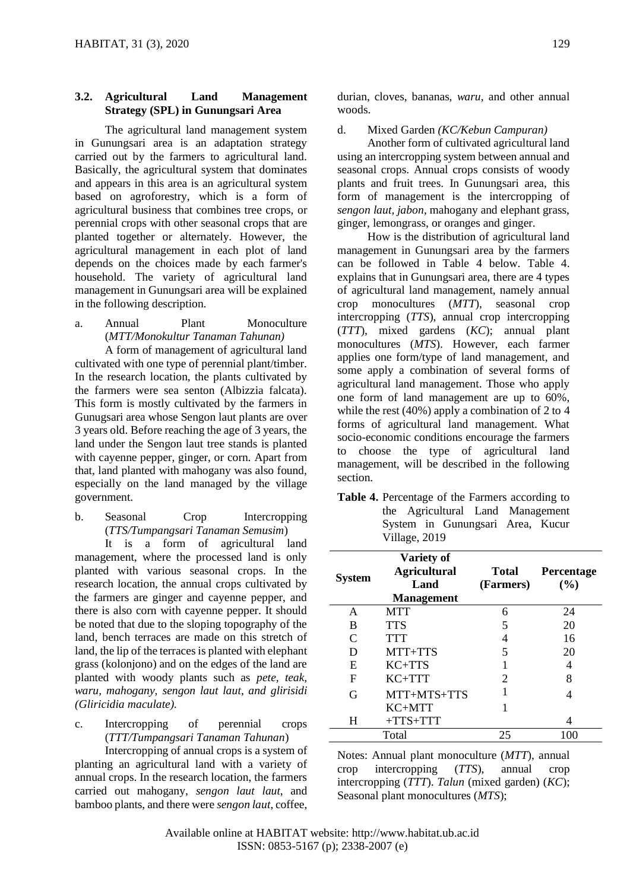# **3.2. Agricultural Land Management Strategy (SPL) in Gunungsari Area**

The agricultural land management system in Gunungsari area is an adaptation strategy carried out by the farmers to agricultural land. Basically, the agricultural system that dominates and appears in this area is an agricultural system based on agroforestry, which is a form of agricultural business that combines tree crops, or perennial crops with other seasonal crops that are planted together or alternately. However, the agricultural management in each plot of land depends on the choices made by each farmer's household. The variety of agricultural land management in Gunungsari area will be explained in the following description.

a. Annual Plant Monoculture (*MTT/Monokultur Tanaman Tahunan)*

A form of management of agricultural land cultivated with one type of perennial plant/timber. In the research location, the plants cultivated by the farmers were sea senton (Albizzia falcata). This form is mostly cultivated by the farmers in Gunugsari area whose Sengon laut plants are over 3 years old. Before reaching the age of 3 years, the land under the Sengon laut tree stands is planted with cayenne pepper, ginger, or corn. Apart from that, land planted with mahogany was also found, especially on the land managed by the village government.

b. Seasonal Crop Intercropping (*TTS/Tumpangsari Tanaman Semusim*)

It is a form of agricultural land management, where the processed land is only planted with various seasonal crops. In the research location, the annual crops cultivated by the farmers are ginger and cayenne pepper, and there is also corn with cayenne pepper. It should be noted that due to the sloping topography of the land, bench terraces are made on this stretch of land, the lip of the terraces is planted with elephant grass (kolonjono) and on the edges of the land are planted with woody plants such as *pete, teak, waru, mahogany, sengon laut laut, and glirisidi (Gliricidia maculate).*

c. Intercropping of perennial crops (*TTT/Tumpangsari Tanaman Tahunan*)

Intercropping of annual crops is a system of planting an agricultural land with a variety of annual crops. In the research location, the farmers carried out mahogany, *sengon laut laut*, and bamboo plants, and there were *sengon laut*, coffee, durian, cloves, bananas, *waru*, and other annual woods.

## d. Mixed Garden *(KC/Kebun Campuran)*

Another form of cultivated agricultural land using an intercropping system between annual and seasonal crops. Annual crops consists of woody plants and fruit trees. In Gunungsari area, this form of management is the intercropping of *sengon laut, jabon*, mahogany and elephant grass, ginger, lemongrass, or oranges and ginger.

How is the distribution of agricultural land management in Gunungsari area by the farmers can be followed in Table 4 below. Table 4. explains that in Gunungsari area, there are 4 types of agricultural land management, namely annual crop monocultures (*MTT*), seasonal crop intercropping (*TTS*), annual crop intercropping (*TTT*), mixed gardens (*KC*); annual plant monocultures (*MTS*). However, each farmer applies one form/type of land management, and some apply a combination of several forms of agricultural land management. Those who apply one form of land management are up to 60%, while the rest (40%) apply a combination of 2 to 4 forms of agricultural land management. What socio-economic conditions encourage the farmers to choose the type of agricultural land management, will be described in the following section.

**Table 4.** Percentage of the Farmers according to the Agricultural Land Management System in Gunungsari Area, Kucur Village, 2019

| <b>System</b> | <b>Variety of</b><br><b>Agricultural</b><br>Land<br><b>Management</b> | Total<br>(Farmers) | <b>Percentage</b><br>(%) |
|---------------|-----------------------------------------------------------------------|--------------------|--------------------------|
| A             | <b>MTT</b>                                                            | 6                  | 24                       |
| B             | <b>TTS</b>                                                            | 5                  | 20                       |
| $\subset$     | <b>TTT</b>                                                            | 4                  | 16                       |
| D             | MTT+TTS                                                               | 5                  | 20                       |
| E             | $KC+TTS$                                                              |                    | 4                        |
| F             | $KC+TTT$                                                              | 2                  | 8                        |
| G             | MTT+MTS+TTS                                                           |                    |                          |
|               | $KC+MTT$                                                              |                    |                          |
| H             | $+TTS+TTT$                                                            |                    |                          |
|               | Total                                                                 | 25                 | 100                      |

Notes: Annual plant monoculture (*MTT*), annual crop intercropping (*TTS*), annual crop intercropping (*TTT*). *Talun* (mixed garden) (*KC*); Seasonal plant monocultures (*MTS*);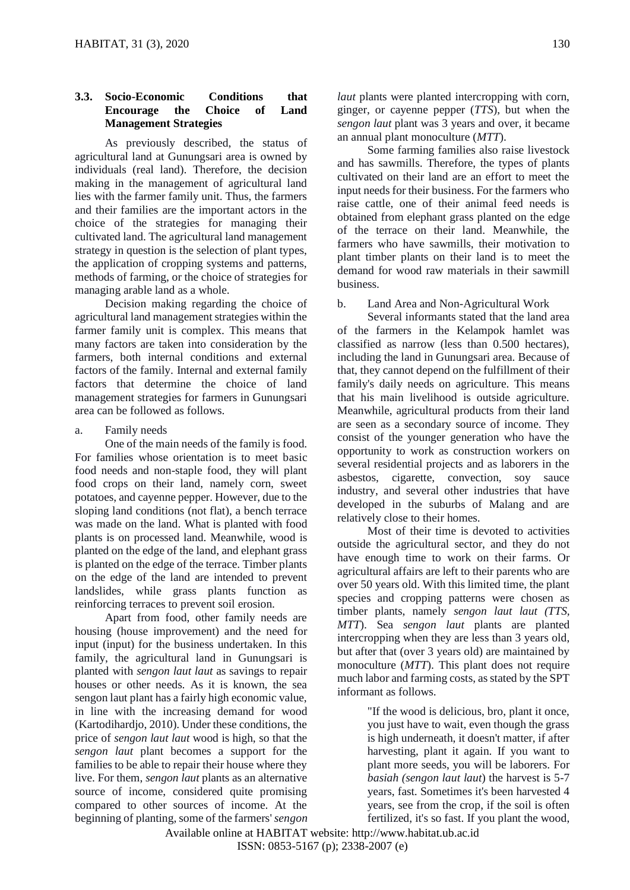# **3.3. Socio-Economic Conditions that Encourage the Choice of Land Management Strategies**

As previously described, the status of agricultural land at Gunungsari area is owned by individuals (real land). Therefore, the decision making in the management of agricultural land lies with the farmer family unit. Thus, the farmers and their families are the important actors in the choice of the strategies for managing their cultivated land. The agricultural land management strategy in question is the selection of plant types, the application of cropping systems and patterns, methods of farming, or the choice of strategies for managing arable land as a whole.

Decision making regarding the choice of agricultural land management strategies within the farmer family unit is complex. This means that many factors are taken into consideration by the farmers, both internal conditions and external factors of the family. Internal and external family factors that determine the choice of land management strategies for farmers in Gunungsari area can be followed as follows.

a. Family needs

One of the main needs of the family is food. For families whose orientation is to meet basic food needs and non-staple food, they will plant food crops on their land, namely corn, sweet potatoes, and cayenne pepper. However, due to the sloping land conditions (not flat), a bench terrace was made on the land. What is planted with food plants is on processed land. Meanwhile, wood is planted on the edge of the land, and elephant grass is planted on the edge of the terrace. Timber plants on the edge of the land are intended to prevent landslides, while grass plants function as reinforcing terraces to prevent soil erosion.

Apart from food, other family needs are housing (house improvement) and the need for input (input) for the business undertaken. In this family, the agricultural land in Gunungsari is planted with *sengon laut laut* as savings to repair houses or other needs. As it is known, the sea sengon laut plant has a fairly high economic value, in line with the increasing demand for wood (Kartodihardjo, 2010). Under these conditions, the price of *sengon laut laut* wood is high, so that the *sengon laut* plant becomes a support for the families to be able to repair their house where they live. For them, *sengon laut* plants as an alternative source of income, considered quite promising compared to other sources of income. At the beginning of planting, some of the farmers' *sengon* 

*laut* plants were planted intercropping with corn, ginger, or cayenne pepper (*TTS*), but when the *sengon laut* plant was 3 years and over, it became an annual plant monoculture (*MTT*).

Some farming families also raise livestock and has sawmills. Therefore, the types of plants cultivated on their land are an effort to meet the input needs for their business. For the farmers who raise cattle, one of their animal feed needs is obtained from elephant grass planted on the edge of the terrace on their land. Meanwhile, the farmers who have sawmills, their motivation to plant timber plants on their land is to meet the demand for wood raw materials in their sawmill business.

b. Land Area and Non-Agricultural Work

Several informants stated that the land area of the farmers in the Kelampok hamlet was classified as narrow (less than 0.500 hectares), including the land in Gunungsari area. Because of that, they cannot depend on the fulfillment of their family's daily needs on agriculture. This means that his main livelihood is outside agriculture. Meanwhile, agricultural products from their land are seen as a secondary source of income. They consist of the younger generation who have the opportunity to work as construction workers on several residential projects and as laborers in the asbestos, cigarette, convection, soy sauce industry, and several other industries that have developed in the suburbs of Malang and are relatively close to their homes.

Most of their time is devoted to activities outside the agricultural sector, and they do not have enough time to work on their farms. Or agricultural affairs are left to their parents who are over 50 years old. With this limited time, the plant species and cropping patterns were chosen as timber plants, namely *sengon laut laut (TTS, MTT*). Sea *sengon laut* plants are planted intercropping when they are less than 3 years old, but after that (over 3 years old) are maintained by monoculture (*MTT*). This plant does not require much labor and farming costs, as stated by the SPT informant as follows.

> "If the wood is delicious, bro, plant it once, you just have to wait, even though the grass is high underneath, it doesn't matter, if after harvesting, plant it again. If you want to plant more seeds, you will be laborers. For *basiah (sengon laut laut*) the harvest is 5-7 years, fast. Sometimes it's been harvested 4 years, see from the crop, if the soil is often fertilized, it's so fast. If you plant the wood,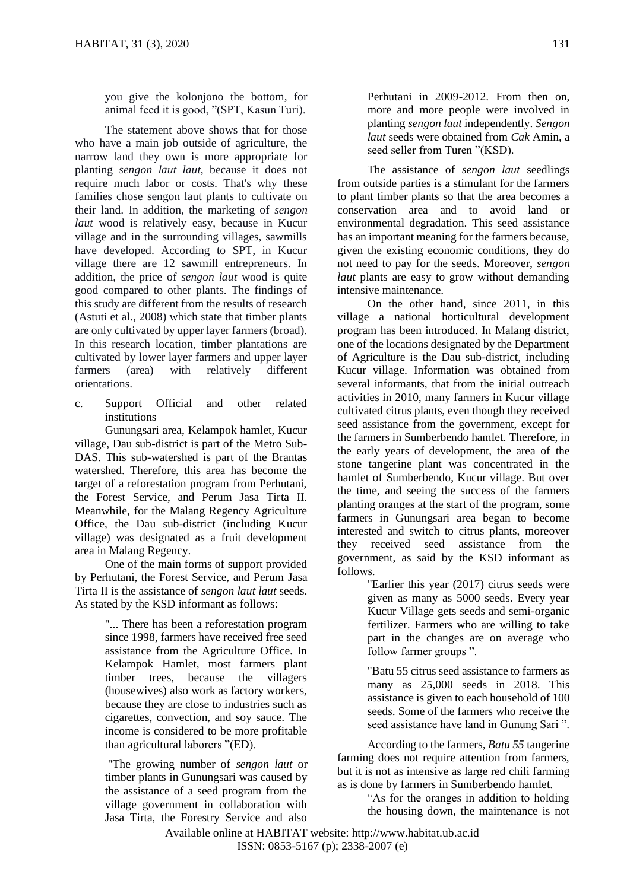you give the kolonjono the bottom, for animal feed it is good, "(SPT, Kasun Turi).

The statement above shows that for those who have a main job outside of agriculture, the narrow land they own is more appropriate for planting *sengon laut laut*, because it does not require much labor or costs. That's why these families chose sengon laut plants to cultivate on their land. In addition, the marketing of *sengon laut* wood is relatively easy, because in Kucur village and in the surrounding villages, sawmills have developed. According to SPT, in Kucur village there are 12 sawmill entrepreneurs. In addition, the price of *sengon laut* wood is quite good compared to other plants. The findings of this study are different from the results of research (Astuti et al., 2008) which state that timber plants are only cultivated by upper layer farmers (broad). In this research location, timber plantations are cultivated by lower layer farmers and upper layer farmers (area) with relatively different orientations.

c. Support Official and other related institutions

Gunungsari area, Kelampok hamlet, Kucur village, Dau sub-district is part of the Metro Sub-DAS. This sub-watershed is part of the Brantas watershed. Therefore, this area has become the target of a reforestation program from Perhutani, the Forest Service, and Perum Jasa Tirta II. Meanwhile, for the Malang Regency Agriculture Office, the Dau sub-district (including Kucur village) was designated as a fruit development area in Malang Regency.

One of the main forms of support provided by Perhutani, the Forest Service, and Perum Jasa Tirta II is the assistance of *sengon laut laut* seeds. As stated by the KSD informant as follows:

> "... There has been a reforestation program since 1998, farmers have received free seed assistance from the Agriculture Office. In Kelampok Hamlet, most farmers plant timber trees, because the villagers (housewives) also work as factory workers, because they are close to industries such as cigarettes, convection, and soy sauce. The income is considered to be more profitable than agricultural laborers "(ED).

> "The growing number of *sengon laut* or timber plants in Gunungsari was caused by the assistance of a seed program from the village government in collaboration with Jasa Tirta, the Forestry Service and also

Perhutani in 2009-2012. From then on, more and more people were involved in planting *sengon laut* independently. *Sengon laut* seeds were obtained from *Cak* Amin, a seed seller from Turen "(KSD).

The assistance of *sengon laut* seedlings from outside parties is a stimulant for the farmers to plant timber plants so that the area becomes a conservation area and to avoid land or environmental degradation. This seed assistance has an important meaning for the farmers because, given the existing economic conditions, they do not need to pay for the seeds. Moreover, *sengon laut* plants are easy to grow without demanding intensive maintenance.

On the other hand, since 2011, in this village a national horticultural development program has been introduced. In Malang district, one of the locations designated by the Department of Agriculture is the Dau sub-district, including Kucur village. Information was obtained from several informants, that from the initial outreach activities in 2010, many farmers in Kucur village cultivated citrus plants, even though they received seed assistance from the government, except for the farmers in Sumberbendo hamlet. Therefore, in the early years of development, the area of the stone tangerine plant was concentrated in the hamlet of Sumberbendo, Kucur village. But over the time, and seeing the success of the farmers planting oranges at the start of the program, some farmers in Gunungsari area began to become interested and switch to citrus plants, moreover they received seed assistance from the government, as said by the KSD informant as follows.

"Earlier this year (2017) citrus seeds were given as many as 5000 seeds. Every year Kucur Village gets seeds and semi-organic fertilizer. Farmers who are willing to take part in the changes are on average who follow farmer groups ".

"Batu 55 citrus seed assistance to farmers as many as 25,000 seeds in 2018. This assistance is given to each household of 100 seeds. Some of the farmers who receive the seed assistance have land in Gunung Sari ".

According to the farmers*, Batu 55* tangerine farming does not require attention from farmers, but it is not as intensive as large red chili farming as is done by farmers in Sumberbendo hamlet.

> "As for the oranges in addition to holding the housing down, the maintenance is not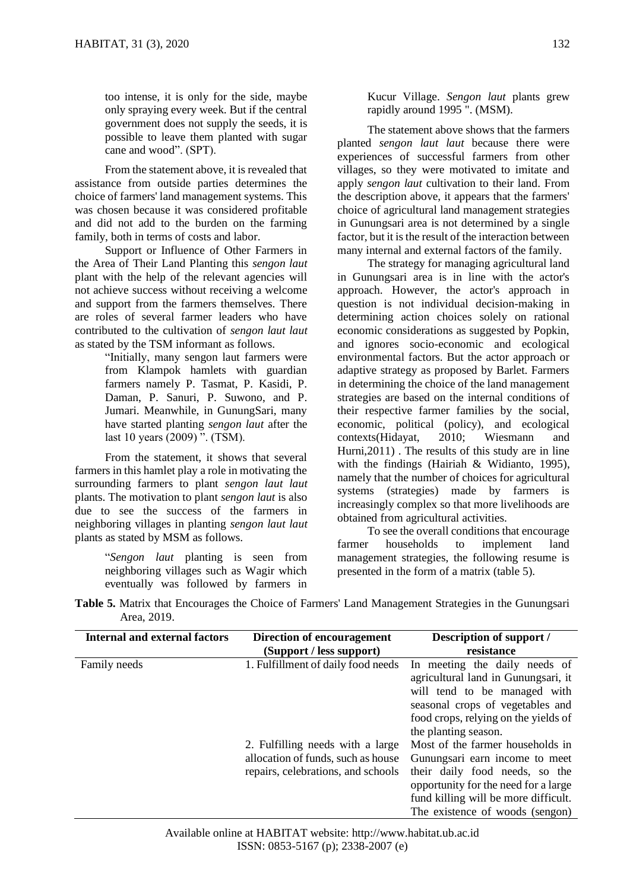too intense, it is only for the side, maybe only spraying every week. But if the central government does not supply the seeds, it is possible to leave them planted with sugar cane and wood". (SPT).

From the statement above, it is revealed that assistance from outside parties determines the choice of farmers' land management systems. This was chosen because it was considered profitable and did not add to the burden on the farming family, both in terms of costs and labor.

Support or Influence of Other Farmers in the Area of Their Land Planting this *sengon laut* plant with the help of the relevant agencies will not achieve success without receiving a welcome and support from the farmers themselves. There are roles of several farmer leaders who have contributed to the cultivation of *sengon laut laut* as stated by the TSM informant as follows.

> "Initially, many sengon laut farmers were from Klampok hamlets with guardian farmers namely P. Tasmat, P. Kasidi, P. Daman, P. Sanuri, P. Suwono, and P. Jumari. Meanwhile, in GunungSari, many have started planting *sengon laut* after the last 10 years (2009) ". (TSM).

From the statement, it shows that several farmers in this hamlet play a role in motivating the surrounding farmers to plant *sengon laut laut* plants. The motivation to plant *sengon laut* is also due to see the success of the farmers in neighboring villages in planting *sengon laut laut* plants as stated by MSM as follows.

> "*Sengon laut* planting is seen from neighboring villages such as Wagir which eventually was followed by farmers in

Kucur Village. *Sengon laut* plants grew rapidly around 1995 ". (MSM).

The statement above shows that the farmers planted *sengon laut laut* because there were experiences of successful farmers from other villages, so they were motivated to imitate and apply *sengon laut* cultivation to their land. From the description above, it appears that the farmers' choice of agricultural land management strategies in Gunungsari area is not determined by a single factor, but it is the result of the interaction between many internal and external factors of the family.

The strategy for managing agricultural land in Gunungsari area is in line with the actor's approach. However, the actor's approach in question is not individual decision-making in determining action choices solely on rational economic considerations as suggested by Popkin, and ignores socio-economic and ecological environmental factors. But the actor approach or adaptive strategy as proposed by Barlet. Farmers in determining the choice of the land management strategies are based on the internal conditions of their respective farmer families by the social, economic, political (policy), and ecological contexts(Hidayat, 2010; Wiesmann and Hurni,2011) . The results of this study are in line with the findings (Hairiah & Widianto, 1995), namely that the number of choices for agricultural systems (strategies) made by farmers is increasingly complex so that more livelihoods are obtained from agricultural activities.

To see the overall conditions that encourage farmer households to implement land management strategies, the following resume is presented in the form of a matrix (table 5).

**Table 5.** Matrix that Encourages the Choice of Farmers' Land Management Strategies in the Gunungsari Area, 2019.

| <b>Internal and external factors</b> | Direction of encouragement<br>(Support / less support) | Description of support /<br>resistance                               |
|--------------------------------------|--------------------------------------------------------|----------------------------------------------------------------------|
| Family needs                         | 1. Fulfillment of daily food needs                     | In meeting the daily needs of<br>agricultural land in Gunungsari, it |
|                                      |                                                        | will tend to be managed with<br>seasonal crops of vegetables and     |
|                                      |                                                        | food crops, relying on the yields of                                 |
|                                      |                                                        | the planting season.                                                 |
|                                      | 2. Fulfilling needs with a large                       | Most of the farmer households in                                     |
|                                      | allocation of funds, such as house                     | Gunungsari earn income to meet                                       |
|                                      | repairs, celebrations, and schools                     | their daily food needs, so the                                       |
|                                      |                                                        | opportunity for the need for a large                                 |
|                                      |                                                        | fund killing will be more difficult.                                 |
|                                      |                                                        | The existence of woods (sengon)                                      |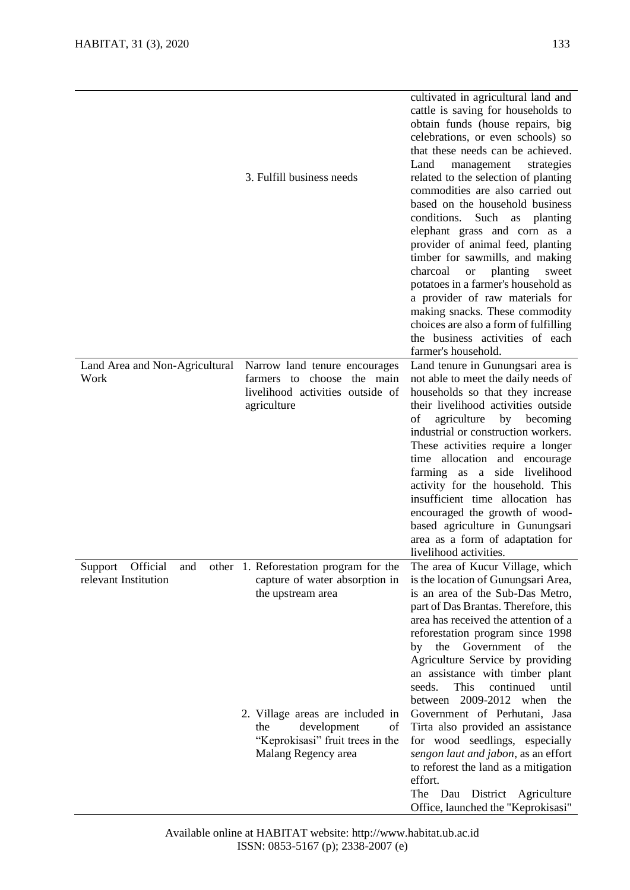|                                                 | 3. Fulfill business needs                                                                                               | cultivated in agricultural land and<br>cattle is saving for households to<br>obtain funds (house repairs, big<br>celebrations, or even schools) so<br>that these needs can be achieved.<br>Land<br>management<br>strategies<br>related to the selection of planting<br>commodities are also carried out<br>based on the household business<br>conditions. Such<br>as planting<br>elephant grass and corn as a<br>provider of animal feed, planting<br>timber for sawmills, and making<br>charcoal<br>planting<br><b>or</b><br>sweet<br>potatoes in a farmer's household as<br>a provider of raw materials for<br>making snacks. These commodity<br>choices are also a form of fulfilling<br>the business activities of each<br>farmer's household. |
|-------------------------------------------------|-------------------------------------------------------------------------------------------------------------------------|----------------------------------------------------------------------------------------------------------------------------------------------------------------------------------------------------------------------------------------------------------------------------------------------------------------------------------------------------------------------------------------------------------------------------------------------------------------------------------------------------------------------------------------------------------------------------------------------------------------------------------------------------------------------------------------------------------------------------------------------------|
| Land Area and Non-Agricultural<br>Work          | Narrow land tenure encourages<br>farmers to choose the main<br>livelihood activities outside of<br>agriculture          | Land tenure in Gunungsari area is<br>not able to meet the daily needs of<br>households so that they increase<br>their livelihood activities outside<br>agriculture<br>οf<br>by becoming<br>industrial or construction workers.<br>These activities require a longer<br>time allocation and encourage<br>farming as a side livelihood<br>activity for the household. This<br>insufficient time allocation has<br>encouraged the growth of wood-<br>based agriculture in Gunungsari<br>area as a form of adaptation for<br>livelihood activities.                                                                                                                                                                                                    |
| Support Official<br>and<br>relevant Institution | other 1. Reforestation program for the<br>capture of water absorption in<br>the upstream area                           | The area of Kucur Village, which<br>is the location of Gunungsari Area,<br>is an area of the Sub-Das Metro,<br>part of Das Brantas. Therefore, this<br>area has received the attention of a<br>reforestation program since 1998<br>by the Government of the<br>Agriculture Service by providing<br>an assistance with timber plant<br>seeds.<br>This<br>continued<br>until<br>between 2009-2012 when the                                                                                                                                                                                                                                                                                                                                           |
|                                                 | 2. Village areas are included in<br>development<br>the<br>of<br>"Keprokisasi" fruit trees in the<br>Malang Regency area | Government of Perhutani, Jasa<br>Tirta also provided an assistance<br>for wood seedlings, especially<br>sengon laut and jabon, as an effort<br>to reforest the land as a mitigation<br>effort.<br>The Dau<br>District Agriculture<br>Office, launched the "Keprokisasi"                                                                                                                                                                                                                                                                                                                                                                                                                                                                            |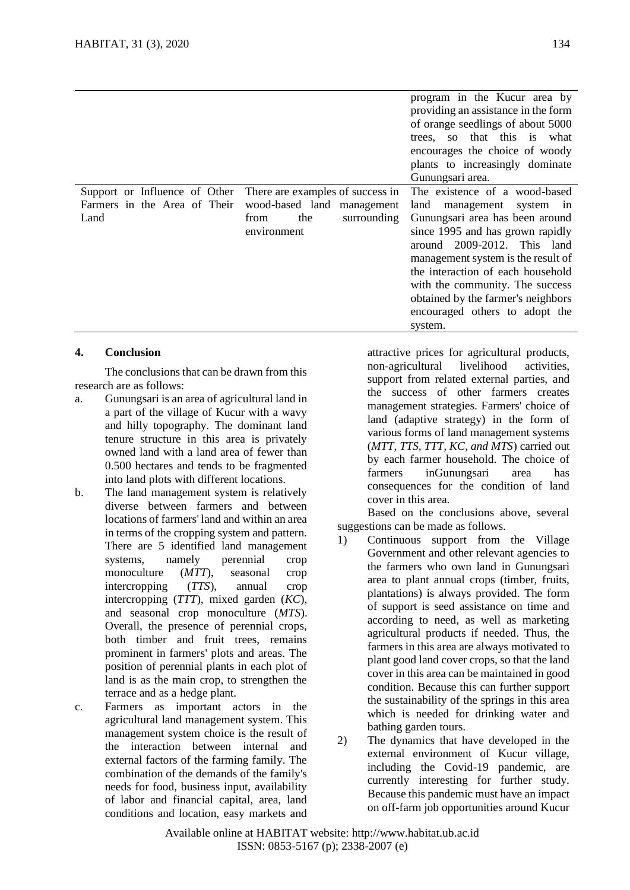|                                                               |                                                                | program in the Kucur area by<br>providing an assistance in the form<br>of orange seedlings of about 5000<br>so that this is what<br>trees.<br>encourages the choice of woody<br>plants to increasingly dominate<br>Gunungsari area.                                                                 |
|---------------------------------------------------------------|----------------------------------------------------------------|-----------------------------------------------------------------------------------------------------------------------------------------------------------------------------------------------------------------------------------------------------------------------------------------------------|
| Support or Influence of Other<br>Farmers in the Area of Their | There are examples of success in<br>wood-based land management | The existence of a wood-based<br>land<br>management<br>system in                                                                                                                                                                                                                                    |
| Land                                                          | surrounding<br>the<br>from<br>environment                      | Gunungsari area has been around<br>since 1995 and has grown rapidly<br>around 2009-2012. This land<br>management system is the result of<br>the interaction of each household<br>with the community. The success<br>obtained by the farmer's neighbors<br>encouraged others to adopt the<br>system. |

## **4. Conclusion**

The conclusions that can be drawn from this research are as follows:

- a. Gunungsari is an area of agricultural land in a part of the village of Kucur with a wavy and hilly topography. The dominant land tenure structure in this area is privately owned land with a land area of fewer than 0.500 hectares and tends to be fragmented into land plots with different locations.
- b. The land management system is relatively diverse between farmers and between locations of farmers' land and within an area in terms of the cropping system and pattern. There are 5 identified land management systems, namely perennial crop monoculture (*MTT*), seasonal crop intercropping (*TTS*), annual crop intercropping (*TTT*), mixed garden (*KC*), and seasonal crop monoculture (*MTS*). Overall, the presence of perennial crops, both timber and fruit trees, remains prominent in farmers' plots and areas. The position of perennial plants in each plot of land is as the main crop, to strengthen the terrace and as a hedge plant.
- c. Farmers as important actors in the agricultural land management system. This management system choice is the result of the interaction between internal and external factors of the farming family. The combination of the demands of the family's needs for food, business input, availability of labor and financial capital, area, land conditions and location, easy markets and

attractive prices for agricultural products, non-agricultural livelihood activities, support from related external parties, and the success of other farmers creates management strategies. Farmers' choice of land (adaptive strategy) in the form of various forms of land management systems (*MTT, TTS, TTT, KC, and MTS*) carried out by each farmer household. The choice of farmers inGunungsari area has consequences for the condition of land cover in this area.

Based on the conclusions above, several suggestions can be made as follows.

- 1) Continuous support from the Village Government and other relevant agencies to the farmers who own land in Gunungsari area to plant annual crops (timber, fruits, plantations) is always provided. The form of support is seed assistance on time and according to need, as well as marketing agricultural products if needed. Thus, the farmers in this area are always motivated to plant good land cover crops, so that the land cover in this area can be maintained in good condition. Because this can further support the sustainability of the springs in this area which is needed for drinking water and bathing garden tours.
- 2) The dynamics that have developed in the external environment of Kucur village, including the Covid-19 pandemic, are currently interesting for further study. Because this pandemic must have an impact on off-farm job opportunities around Kucur